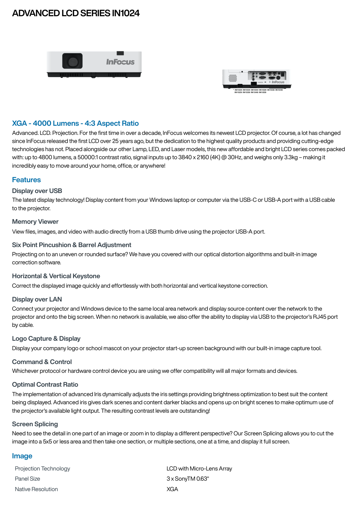# **ADVANCED LCD SERIES IN1024**





## **XGA - 4000 Lumens - 4:3 Aspect Ratio**

Advanced. LCD. Projection. For the first time in over a decade, InFocus welcomes its newest LCD projector. Of course, a lot has changed since InFocus released the first LCD over 25 years ago, but the dedication to the highest quality products and providing cutting-edge technologies has not. Placed alongside our other Lamp, LED, and Laser models, this new affordable and bright LCD series comes packed with: up to 4800 lumens, a 50000:1 contrast ratio, signal inputs up to 3840 x 2160 (4K) @ 30Hz, and weighs only 3.3kg – making it incredibly easy to move around your home, office, or anywhere!

## **Features**

### **Display over USB**

The latest display technology! Display content from your Windows laptop or computer via the USB-C or USB-A port with a USB cable to the projector.

#### **Memory Viewer**

View files, images, and video with audio directly from a USB thumb drive using the projector USB-A port.

### **Six Point Pincushion & Barrel Adjustment**

Projecting on to an uneven or rounded surface? We have you covered with our optical distortion algorithms and built-in image correction software.

### **Horizontal & Vertical Keystone**

Correct the displayed image quickly and effortlessly with both horizontal and vertical keystone correction.

### **Display over LAN**

Connect your projector and Windows device to the same local area network and display source content over the network to the projector and onto the big screen. When no network is available, we also offer the ability to display via USB to the projector's RJ45 port by cable.

### **Logo Capture & Display**

Display your company logo or school mascot on your projector start-up screen background with our built-in image capture tool.

### **Command & Control**

Whichever protocol or hardware control device you are using we offer compatibility will all major formats and devices.

### **Optimal Contrast Ratio**

The implementation of advanced Iris dynamically adjusts the iris settings providing brightness optimization to best suit the content being displayed. Advanced iris gives dark scenes and content darker blacks and opens up on bright scenes to make optimum use of the projector's available light output. The resulting contrast levels are outstanding!

#### **Screen Splicing**

Need to see the detail in one part of an image or zoom in to display a different perspective? Our Screen Splicing allows you to cut the image into a 5x5 or less area and then take one section, or multiple sections, one at a time, and display it full screen.

### **Image**

| <b>Projection Technology</b> | LCD with Micro-Lens Array |
|------------------------------|---------------------------|
| Panel Size                   | $3 \times$ SonyTM 0.63"   |
| Native Resolution            | XGA                       |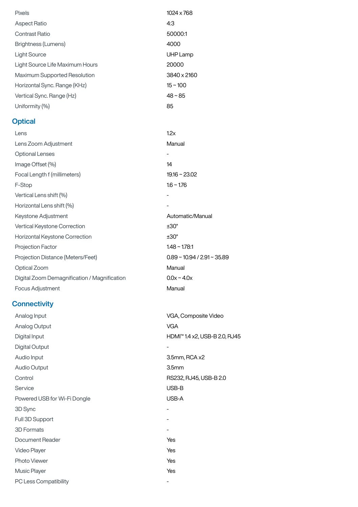| <b>Pixels</b>                                | 1024 x 768                    |  |
|----------------------------------------------|-------------------------------|--|
| <b>Aspect Ratio</b>                          | 4:3                           |  |
| <b>Contrast Ratio</b>                        | 50000:1                       |  |
| <b>Brightness (Lumens)</b>                   | 4000                          |  |
| <b>Light Source</b>                          | UHP Lamp                      |  |
| Light Source Life Maximum Hours              | 20000                         |  |
| Maximum Supported Resolution                 | 3840 x 2160                   |  |
| Horizontal Sync. Range (KHz)                 | $15 - 100$                    |  |
| Vertical Sync. Range (Hz)                    | $48 - 85$                     |  |
| Uniformity (%)                               | 85                            |  |
| <b>Optical</b>                               |                               |  |
| Lens                                         | 1.2x                          |  |
| Lens Zoom Adjustment                         | Manual                        |  |
| <b>Optional Lenses</b>                       | $\overline{\phantom{a}}$      |  |
| Image Offset (%)                             | 14                            |  |
| Focal Length f (millimeters)                 | $19.16 \sim 23.02$            |  |
| F-Stop                                       | $1.6 - 1.76$                  |  |
| Vertical Lens shift (%)                      |                               |  |
| Horizontal Lens shift (%)                    |                               |  |
| Keystone Adjustment                          | Automatic/Manual              |  |
| Vertical Keystone Correction                 | $±30^{\circ}$                 |  |
| Horizontal Keystone Correction               | $±30^{\circ}$                 |  |
| Projection Factor                            | $1.48 \sim 1.78:1$            |  |
| Projection Distance (Meters/Feet)            | $0.89 - 10.94 / 2.91 - 35.89$ |  |
| Optical Zoom                                 | Manual                        |  |
| Digital Zoom Demagnification / Magnification | $0.0x - 4.0x$                 |  |
| Focus Adjustment                             | Manual                        |  |
| <b>Connectivity</b>                          |                               |  |
| Analog Input                                 | VGA, Composite Video          |  |
| Analog Output                                | <b>VGA</b>                    |  |

Digital Input **HDMI™ 1.4 x2, USB-B 2.0, RJ45** Digital Output **-**Audio Input 3.5mm, RCA x2 Audio Output 3.5mm Control RS232, RJ45, USB-B 2.0 Service USB-B Powered USB for Wi-Fi Dongle USB-A 3D Sync - Full 3D Support **-**3D Formats - Document Reader Yes Video Player **Yes** Photo Viewer Yes Music Player **Yes** PC Less Compatibility **-**